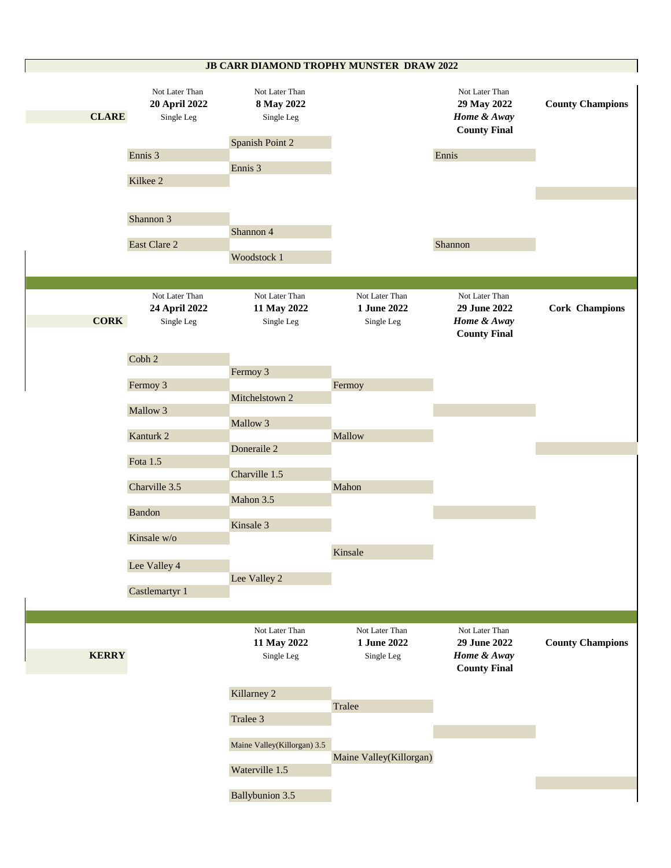## **JB CARR DIAMOND TROPHY MUNSTER DRAW 2022**

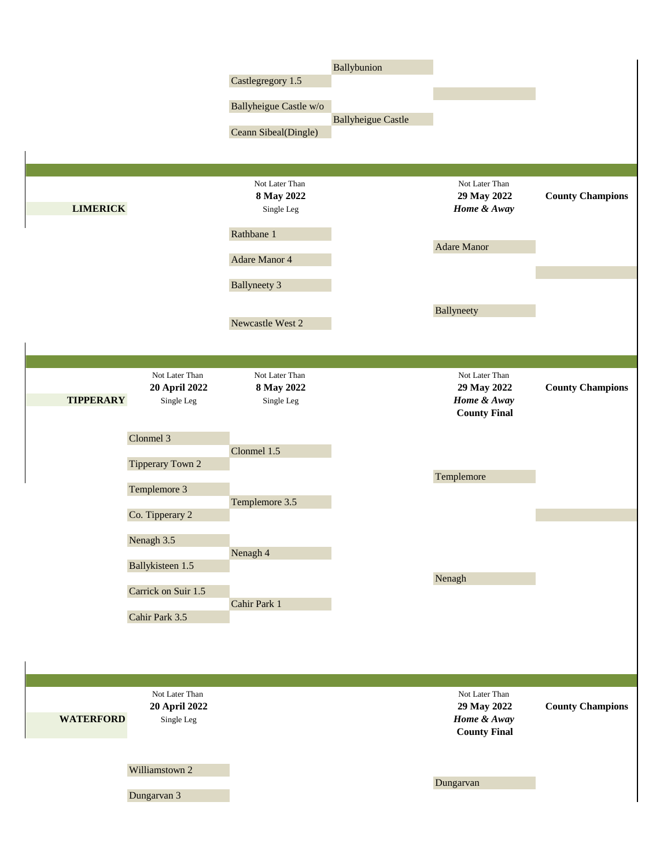|                                                                   | Castlegregory 1.5<br>Ballyheigue Castle w/o<br>Ceann Sibeal(Dingle) | Ballybunion<br><b>Ballyheigue Castle</b> |                                                                     |                         |
|-------------------------------------------------------------------|---------------------------------------------------------------------|------------------------------------------|---------------------------------------------------------------------|-------------------------|
| <b>LIMERICK</b>                                                   | Not Later Than<br>8 May 2022<br>Single Leg                          |                                          | Not Later Than<br>29 May 2022<br>Home & Away                        | <b>County Champions</b> |
|                                                                   | Rathbane 1<br>Adare Manor 4                                         |                                          | <b>Adare Manor</b>                                                  |                         |
|                                                                   | <b>Ballyneety 3</b>                                                 |                                          |                                                                     |                         |
|                                                                   | Newcastle West 2                                                    |                                          | Ballyneety                                                          |                         |
|                                                                   |                                                                     |                                          |                                                                     |                         |
| Not Later Than<br>20 April 2022<br><b>TIPPERARY</b><br>Single Leg | Not Later Than<br>8 May 2022<br>Single Leg                          |                                          | Not Later Than<br>29 May 2022<br>Home & Away<br><b>County Final</b> | <b>County Champions</b> |
| Clonmel 3                                                         | Clonmel 1.5                                                         |                                          |                                                                     |                         |
| Tipperary Town 2<br>Templemore 3                                  |                                                                     |                                          | Templemore                                                          |                         |
|                                                                   | Templemore 3.5                                                      |                                          |                                                                     |                         |
| Co. Tipperary 2                                                   |                                                                     |                                          |                                                                     |                         |
| Nenagh 3.5                                                        |                                                                     |                                          |                                                                     |                         |
| Ballykisteen 1.5                                                  | Nenagh 4                                                            |                                          |                                                                     |                         |
|                                                                   |                                                                     |                                          | Nenagh                                                              |                         |
| Carrick on Suir 1.5                                               | Cahir Park 1                                                        |                                          |                                                                     |                         |
| Cahir Park 3.5                                                    |                                                                     |                                          |                                                                     |                         |
|                                                                   |                                                                     |                                          |                                                                     |                         |
| Not Later Than                                                    |                                                                     |                                          | Not Later Than                                                      |                         |
| 20 April 2022<br><b>WATERFORD</b><br>Single Leg                   |                                                                     |                                          | 29 May 2022<br>Home & Away<br><b>County Final</b>                   | <b>County Champions</b> |
| Williamstown 2                                                    |                                                                     |                                          |                                                                     |                         |
| Dungarvan 3                                                       |                                                                     |                                          | Dungarvan                                                           |                         |